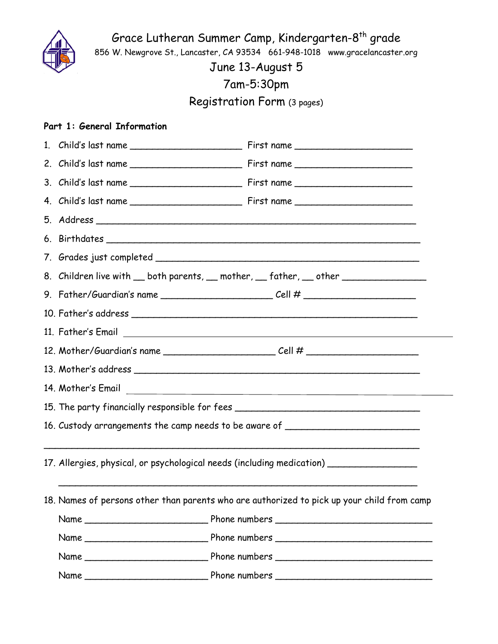

Grace Lutheran Summer Camp, Kindergarten-8<sup>th</sup> grade 856 W. Newgrove St., Lancaster, CA 93534 661-948-1018 www.gracelancaster.org

June 13-August 5

7am-5:30pm

Registration Form (3 pages)

## **Part 1: General Information**

|  | 8. Children live with __ both parents, __ mother, __ father, __ other __________ |                                                                                            |  |
|--|----------------------------------------------------------------------------------|--------------------------------------------------------------------------------------------|--|
|  | 9. Father/Guardian's name _________________________________Cell # ______________ |                                                                                            |  |
|  |                                                                                  |                                                                                            |  |
|  |                                                                                  |                                                                                            |  |
|  |                                                                                  |                                                                                            |  |
|  |                                                                                  |                                                                                            |  |
|  |                                                                                  |                                                                                            |  |
|  |                                                                                  | 15. The party financially responsible for fees _________________________________           |  |
|  |                                                                                  | 16. Custody arrangements the camp needs to be aware of _________________________           |  |
|  |                                                                                  |                                                                                            |  |
|  |                                                                                  | 17. Allergies, physical, or psychological needs (including medication) ________________    |  |
|  |                                                                                  |                                                                                            |  |
|  |                                                                                  | 18. Names of persons other than parents who are authorized to pick up your child from camp |  |
|  |                                                                                  |                                                                                            |  |
|  |                                                                                  |                                                                                            |  |
|  |                                                                                  |                                                                                            |  |
|  |                                                                                  |                                                                                            |  |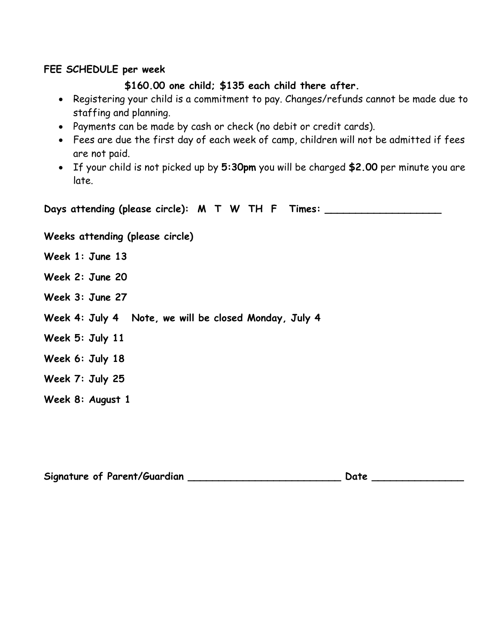## **FEE SCHEDULE per week**

## **\$160.00 one child; \$135 each child there after.**

- Registering your child is a commitment to pay. Changes/refunds cannot be made due to staffing and planning.
- Payments can be made by cash or check (no debit or credit cards).
- Fees are due the first day of each week of camp, children will not be admitted if fees are not paid.
- If your child is not picked up by **5:30pm** you will be charged **\$2.00** per minute you are late.

**Days attending (please circle): M T W TH F Times: \_\_\_\_\_\_\_\_\_\_\_\_\_\_\_\_\_\_\_**

**Weeks attending (please circle)**

**Week 1: June 13**

**Week 2: June 20**

**Week 3: June 27**

- **Week 4: July 4 Note, we will be closed Monday, July 4**
- **Week 5: July 11**

**Week 6: July 18**

**Week 7: July 25**

**Week 8: August 1**

**Signature of Parent/Guardian \_\_\_\_\_\_\_\_\_\_\_\_\_\_\_\_\_\_\_\_\_\_\_\_\_ Date \_\_\_\_\_\_\_\_\_\_\_\_\_\_\_**